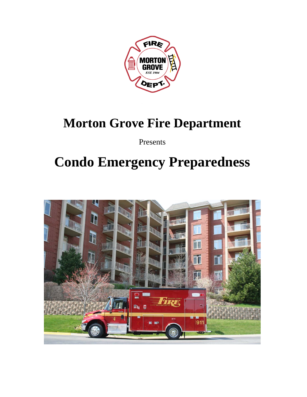

### **Morton Grove Fire Department**

Presents

# **Condo Emergency Preparedness**

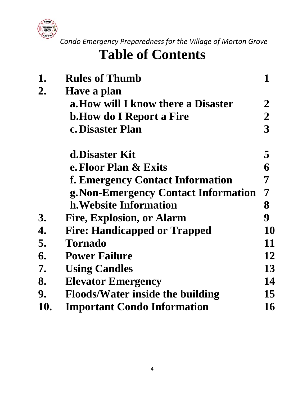

# **Table of Contents**

| 1.  | <b>Rules of Thumb</b>                   | 1              |
|-----|-----------------------------------------|----------------|
| 2.  | Have a plan                             |                |
|     | a. How will I know there a Disaster     | $\overline{2}$ |
|     | <b>b. How do I Report a Fire</b>        | $\overline{2}$ |
|     | c. Disaster Plan                        | 3              |
|     | d.Disaster Kit                          | 5              |
|     | e. Floor Plan & Exits                   | 6              |
|     | f. Emergency Contact Information        | 7              |
|     | g. Non-Emergency Contact Information    | $\overline{7}$ |
|     | h. Website Information                  | 8              |
| 3.  | <b>Fire, Explosion, or Alarm</b>        | 9              |
| 4.  | <b>Fire: Handicapped or Trapped</b>     | 10             |
| 5.  | <b>Tornado</b>                          | 11             |
| 6.  | <b>Power Failure</b>                    | 12             |
| 7.  | <b>Using Candles</b>                    | 13             |
| 8.  | <b>Elevator Emergency</b>               | 14             |
| 9.  | <b>Floods/Water inside the building</b> | 15             |
| 10. | <b>Important Condo Information</b>      | 16             |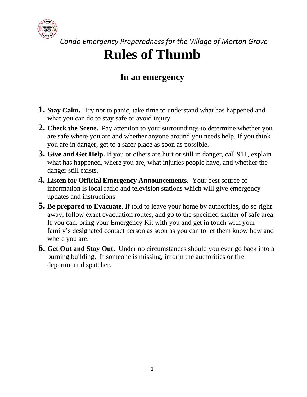

 *Condo Emergency Preparedness for the Village of Morton Grove* **Rules of Thumb** 

#### **In an emergency**

- **1. Stay Calm.** Try not to panic, take time to understand what has happened and what you can do to stay safe or avoid injury.
- **2. Check the Scene.** Pay attention to your surroundings to determine whether you are safe where you are and whether anyone around you needs help. If you think you are in danger, get to a safer place as soon as possible.
- **3. Give and Get Help.** If you or others are hurt or still in danger, call 911, explain what has happened, where you are, what injuries people have, and whether the danger still exists.
- **4. Listen for Official Emergency Announcements.** Your best source of information is local radio and television stations which will give emergency updates and instructions.
- **5. Be prepared to Evacuate**. If told to leave your home by authorities, do so right away, follow exact evacuation routes, and go to the specified shelter of safe area. If you can, bring your Emergency Kit with you and get in touch with your family's designated contact person as soon as you can to let them know how and where you are.
- **6. Get Out and Stay Out.** Under no circumstances should you ever go back into a burning building. If someone is missing, inform the authorities or fire department dispatcher.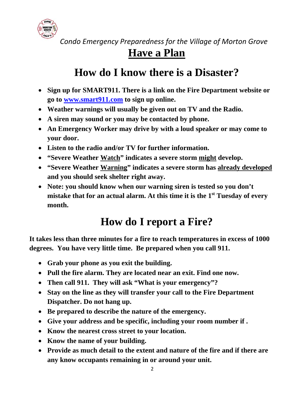

#### **Have a Plan**

#### **How do I know there is a Disaster?**

- **Sign up for SMART911. There is a link on the Fire Department website or go to www.smart911.com to sign up online.**
- **Weather warnings will usually be given out on TV and the Radio.**
- **A siren may sound or you may be contacted by phone.**
- **An Emergency Worker may drive by with a loud speaker or may come to your door.**
- **Listen to the radio and/or TV for further information.**
- **"Severe Weather Watch" indicates a severe storm might develop.**
- **"Severe Weather Warning" indicates a severe storm has already developed and you should seek shelter right away.**
- **Note: you should know when our warning siren is tested so you don't mistake that for an actual alarm. At this time it is the 1st Tuesday of every month.**

#### **How do I report a Fire?**

**It takes less than three minutes for a fire to reach temperatures in excess of 1000 degrees. You have very little time. Be prepared when you call 911.** 

- **Grab your phone as you exit the building.**
- **Pull the fire alarm. They are located near an exit. Find one now.**
- **Then call 911. They will ask "What is your emergency"?**
- **Stay on the line as they will transfer your call to the Fire Department Dispatcher. Do not hang up.**
- **Be prepared to describe the nature of the emergency.**
- **Give your address and be specific, including your room number if .**
- **Know the nearest cross street to your location.**
- **Know the name of your building.**
- **Provide as much detail to the extent and nature of the fire and if there are any know occupants remaining in or around your unit.**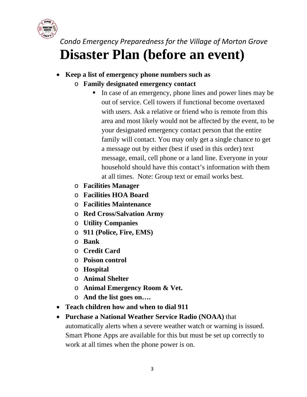

 *Condo Emergency Preparedness for the Village of Morton Grove* **Disaster Plan (before an event)** 

- **Keep a list of emergency phone numbers such as** 
	- o **Family designated emergency contact** 
		- In case of an emergency, phone lines and power lines may be out of service. Cell towers if functional become overtaxed with users. Ask a relative or friend who is remote from this area and most likely would not be affected by the event, to be your designated emergency contact person that the entire family will contact. You may only get a single chance to get a message out by either (best if used in this order) text message, email, cell phone or a land line. Everyone in your household should have this contact's information with them at all times. Note: Group text or email works best.
	- o **Facilities Manager**
	- o **Facilities HOA Board**
	- o **Facilities Maintenance**
	- o **Red Cross/Salvation Army**
	- o **Utility Companies**
	- o **911 (Police, Fire, EMS)**
	- o **Bank**
	- o **Credit Card**
	- o **Poison control**
	- o **Hospital**
	- o **Animal Shelter**
	- o **Animal Emergency Room & Vet.**
	- o **And the list goes on….**
- **Teach children how and when to dial 911**
- **Purchase a National Weather Service Radio (NOAA)** that automatically alerts when a severe weather watch or warning is issued. Smart Phone Apps are available for this but must be set up correctly to work at all times when the phone power is on.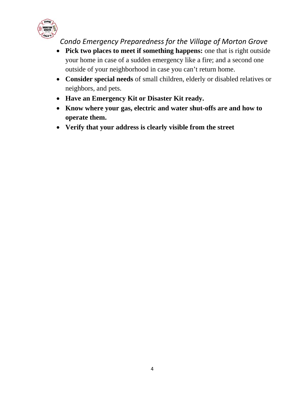

- **Pick two places to meet if something happens:** one that is right outside your home in case of a sudden emergency like a fire; and a second one outside of your neighborhood in case you can't return home.
- **Consider special needs** of small children, elderly or disabled relatives or neighbors, and pets.
- **Have an Emergency Kit or Disaster Kit ready.**
- **Know where your gas, electric and water shut-offs are and how to operate them.**
- **Verify that your address is clearly visible from the street**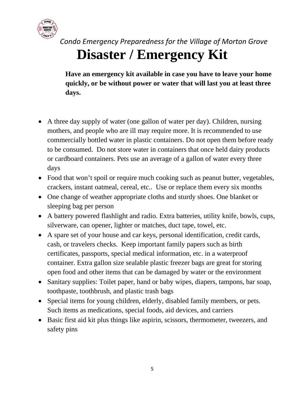

 *Condo Emergency Preparedness for the Village of Morton Grove* **Disaster / Emergency Kit** 

**Have an emergency kit available in case you have to leave your home quickly, or be without power or water that will last you at least three days.** 

- A three day supply of water (one gallon of water per day). Children, nursing mothers, and people who are ill may require more. It is recommended to use commercially bottled water in plastic containers. Do not open them before ready to be consumed. Do not store water in containers that once held dairy products or cardboard containers. Pets use an average of a gallon of water every three days
- Food that won't spoil or require much cooking such as peanut butter, vegetables, crackers, instant oatmeal, cereal, etc.. Use or replace them every six months
- One change of weather appropriate cloths and sturdy shoes. One blanket or sleeping bag per person
- A battery powered flashlight and radio. Extra batteries, utility knife, bowls, cups, silverware, can opener, lighter or matches, duct tape, towel, etc.
- A spare set of your house and car keys, personal identification, credit cards, cash, or travelers checks. Keep important family papers such as birth certificates, passports, special medical information, etc. in a waterproof container. Extra gallon size sealable plastic freezer bags are great for storing open food and other items that can be damaged by water or the environment
- Sanitary supplies: Toilet paper, hand or baby wipes, diapers, tampons, bar soap, toothpaste, toothbrush, and plastic trash bags
- Special items for young children, elderly, disabled family members, or pets. Such items as medications, special foods, aid devices, and carriers
- Basic first aid kit plus things like aspirin, scissors, thermometer, tweezers, and safety pins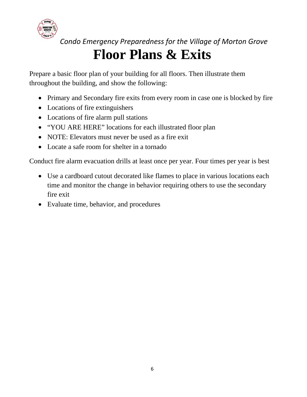

# **Floor Plans & Exits**

Prepare a basic floor plan of your building for all floors. Then illustrate them throughout the building, and show the following:

- Primary and Secondary fire exits from every room in case one is blocked by fire
- Locations of fire extinguishers
- Locations of fire alarm pull stations
- "YOU ARE HERE" locations for each illustrated floor plan
- NOTE: Elevators must never be used as a fire exit
- Locate a safe room for shelter in a tornado

Conduct fire alarm evacuation drills at least once per year. Four times per year is best

- Use a cardboard cutout decorated like flames to place in various locations each time and monitor the change in behavior requiring others to use the secondary fire exit
- Evaluate time, behavior, and procedures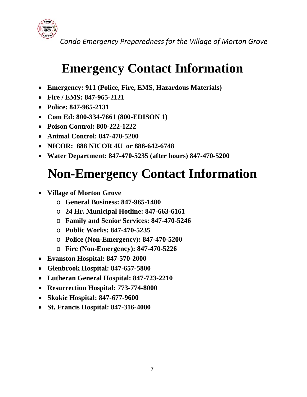

### **Emergency Contact Information**

- **Emergency: 911 (Police, Fire, EMS, Hazardous Materials)**
- **Fire / EMS: 847-965-2121**
- **Police: 847-965-2131**
- **Com Ed: 800-334-7661 (800-EDISON 1)**
- **Poison Control: 800-222-1222**
- **Animal Control: 847-470-5200**
- **NICOR: 888 NICOR 4U or 888-642-6748**
- **Water Department: 847-470-5235 (after hours) 847-470-5200**

# **Non-Emergency Contact Information**

- **Village of Morton Grove** 
	- o **General Business: 847-965-1400**
	- o **24 Hr. Municipal Hotline: 847-663-6161**
	- o **Family and Senior Services: 847-470-5246**
	- o **Public Works: 847-470-5235**
	- o **Police (Non-Emergency): 847-470-5200**
	- o **Fire (Non-Emergency): 847-470-5226**
- **Evanston Hospital: 847-570-2000**
- **Glenbrook Hospital: 847-657-5800**
- **Lutheran General Hospital: 847-723-2210**
- **Resurrection Hospital: 773-774-8000**
- **Skokie Hospital: 847-677-9600**
- **St. Francis Hospital: 847-316-4000**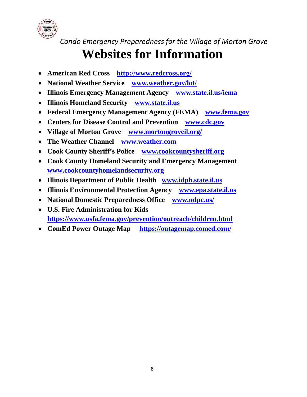

## **Websites for Information**

- **American Red Cross http://www.redcross.org/**
- **National Weather Service www.weather.gov/lot/**
- **Illinois Emergency Management Agency www.state.il.us/iema**
- **Illinois Homeland Security www.state.il.us**
- **Federal Emergency Management Agency (FEMA) www.fema.gov**
- **Centers for Disease Control and Prevention www.cdc.gov**
- **Village of Morton Grove www.mortongroveil.org/**
- **The Weather Channel www.weather.com**
- **Cook County Sheriff's Police www.cookcountysheriff.org**
- **Cook County Homeland Security and Emergency Management www.cookcountyhomelandsecurity.org**
- **Illinois Department of Public Health www.idph.state.il.us**
- **Illinois Environmental Protection Agency www.epa.state.il.us**
- **National Domestic Preparedness Office www.ndpc.us/**
- **U.S. Fire Administration for Kids https://www.usfa.fema.gov/prevention/outreach/children.html**
- **ComEd Power Outage Map https://outagemap.comed.com/**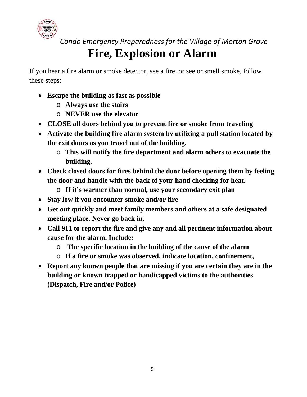

### **Fire, Explosion or Alarm**

If you hear a fire alarm or smoke detector, see a fire, or see or smell smoke, follow these steps:

- **Escape the building as fast as possible** 
	- o **Always use the stairs**
	- o **NEVER use the elevator**
- **CLOSE all doors behind you to prevent fire or smoke from traveling**
- **Activate the building fire alarm system by utilizing a pull station located by the exit doors as you travel out of the building.** 
	- o **This will notify the fire department and alarm others to evacuate the building.**
- **Check closed doors for fires behind the door before opening them by feeling the door and handle with the back of your hand checking for heat.** 
	- o **If it's warmer than normal, use your secondary exit plan**
- **Stay low if you encounter smoke and/or fire**
- **Get out quickly and meet family members and others at a safe designated meeting place. Never go back in.**
- **Call 911 to report the fire and give any and all pertinent information about cause for the alarm. Include:** 
	- o **The specific location in the building of the cause of the alarm**
	- o **If a fire or smoke was observed, indicate location, confinement,**
- **Report any known people that are missing if you are certain they are in the building or known trapped or handicapped victims to the authorities (Dispatch, Fire and/or Police)**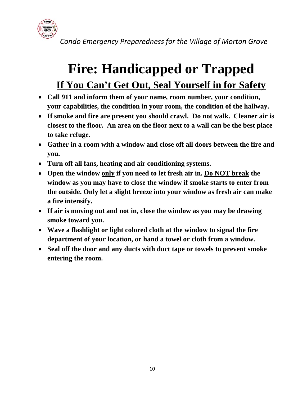

# **Fire: Handicapped or Trapped If You Can't Get Out, Seal Yourself in for Safety**

- **Call 911 and inform them of your name, room number, your condition, your capabilities, the condition in your room, the condition of the hallway.**
- **If smoke and fire are present you should crawl. Do not walk. Cleaner air is closest to the floor. An area on the floor next to a wall can be the best place to take refuge.**
- **Gather in a room with a window and close off all doors between the fire and you.**
- **Turn off all fans, heating and air conditioning systems.**
- **Open the window only if you need to let fresh air in. Do NOT break the window as you may have to close the window if smoke starts to enter from the outside. Only let a slight breeze into your window as fresh air can make a fire intensify.**
- **If air is moving out and not in, close the window as you may be drawing smoke toward you.**
- **Wave a flashlight or light colored cloth at the window to signal the fire department of your location, or hand a towel or cloth from a window.**
- **Seal off the door and any ducts with duct tape or towels to prevent smoke entering the room.**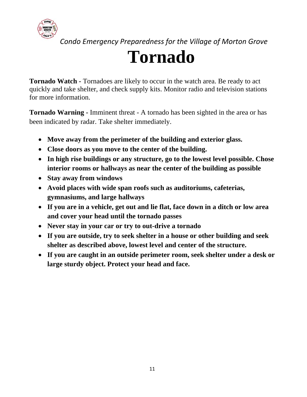

# **Tornado**

**Tornado Watch -** Tornadoes are likely to occur in the watch area. Be ready to act quickly and take shelter, and check supply kits. Monitor radio and television stations for more information.

**Tornado Warning -** Imminent threat - A tornado has been sighted in the area or has been indicated by radar. Take shelter immediately.

- **Move away from the perimeter of the building and exterior glass.**
- **Close doors as you move to the center of the building.**
- **In high rise buildings or any structure, go to the lowest level possible. Chose interior rooms or hallways as near the center of the building as possible**
- **Stay away from windows**
- **Avoid places with wide span roofs such as auditoriums, cafeterias, gymnasiums, and large hallways**
- **If you are in a vehicle, get out and lie flat, face down in a ditch or low area and cover your head until the tornado passes**
- **Never stay in your car or try to out-drive a tornado**
- **If you are outside, try to seek shelter in a house or other building and seek shelter as described above, lowest level and center of the structure.**
- **If you are caught in an outside perimeter room, seek shelter under a desk or large sturdy object. Protect your head and face.**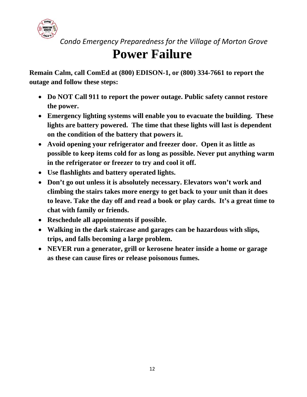

### **Power Failure**

**Remain Calm, call ComEd at (800) EDISON-1, or (800) 334-7661 to report the outage and follow these steps:** 

- **Do NOT Call 911 to report the power outage. Public safety cannot restore the power.**
- **Emergency lighting systems will enable you to evacuate the building. These lights are battery powered. The time that these lights will last is dependent on the condition of the battery that powers it.**
- **Avoid opening your refrigerator and freezer door. Open it as little as possible to keep items cold for as long as possible. Never put anything warm in the refrigerator or freezer to try and cool it off.**
- **Use flashlights and battery operated lights.**
- **Don't go out unless it is absolutely necessary. Elevators won't work and climbing the stairs takes more energy to get back to your unit than it does to leave. Take the day off and read a book or play cards. It's a great time to chat with family or friends.**
- **Reschedule all appointments if possible.**
- **Walking in the dark staircase and garages can be hazardous with slips, trips, and falls becoming a large problem.**
- **NEVER run a generator, grill or kerosene heater inside a home or garage as these can cause fires or release poisonous fumes.**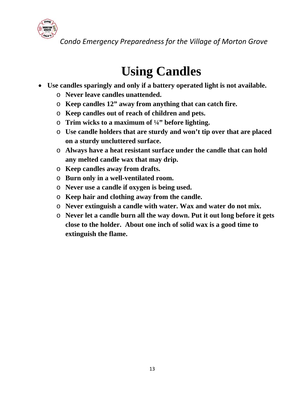

## **Using Candles**

- **Use candles sparingly and only if a battery operated light is not available.** 
	- o **Never leave candles unattended.**
	- o **Keep candles 12" away from anything that can catch fire.**
	- o **Keep candles out of reach of children and pets.**
	- o **Trim wicks to a maximum of ¼" before lighting.**
	- o **Use candle holders that are sturdy and won't tip over that are placed on a sturdy uncluttered surface.**
	- o **Always have a heat resistant surface under the candle that can hold any melted candle wax that may drip.**
	- o **Keep candles away from drafts.**
	- o **Burn only in a well-ventilated room.**
	- o **Never use a candle if oxygen is being used.**
	- o **Keep hair and clothing away from the candle.**
	- o **Never extinguish a candle with water. Wax and water do not mix.**
	- o **Never let a candle burn all the way down. Put it out long before it gets close to the holder. About one inch of solid wax is a good time to extinguish the flame.**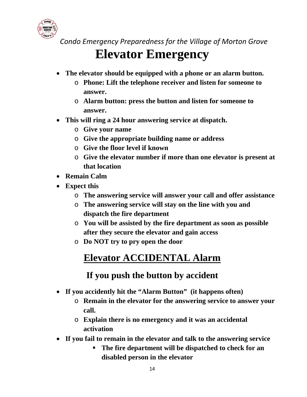

### **Elevator Emergency**

- **The elevator should be equipped with a phone or an alarm button.** 
	- o **Phone: Lift the telephone receiver and listen for someone to answer.**
	- o **Alarm button: press the button and listen for someone to answer.**
- **This will ring a 24 hour answering service at dispatch.** 
	- o **Give your name**
	- o **Give the appropriate building name or address**
	- o **Give the floor level if known**
	- o **Give the elevator number if more than one elevator is present at that location**
- **Remain Calm**
- **Expect this** 
	- o **The answering service will answer your call and offer assistance**
	- o **The answering service will stay on the line with you and dispatch the fire department**
	- o **You will be assisted by the fire department as soon as possible after they secure the elevator and gain access**
	- o **Do NOT try to pry open the door**

#### **Elevator ACCIDENTAL Alarm**

#### **If you push the button by accident**

- **If you accidently hit the "Alarm Button" (it happens often)** 
	- o **Remain in the elevator for the answering service to answer your call.**
	- o **Explain there is no emergency and it was an accidental activation**
- **If you fail to remain in the elevator and talk to the answering service** 
	- **The fire department will be dispatched to check for an disabled person in the elevator**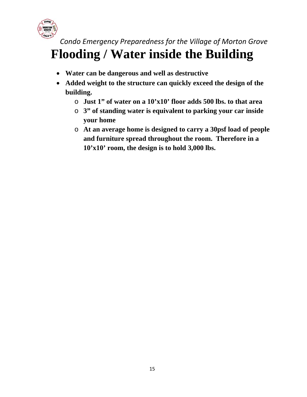

#### *Condo Emergency Preparedness for the Village of Morton Grove* **Flooding / Water inside the Building**

- **Water can be dangerous and well as destructive**
- **Added weight to the structure can quickly exceed the design of the building.** 
	- o **Just 1" of water on a 10'x10' floor adds 500 lbs. to that area**
	- o **3" of standing water is equivalent to parking your car inside your home**
	- o **At an average home is designed to carry a 30psf load of people and furniture spread throughout the room. Therefore in a 10'x10' room, the design is to hold 3,000 lbs.**